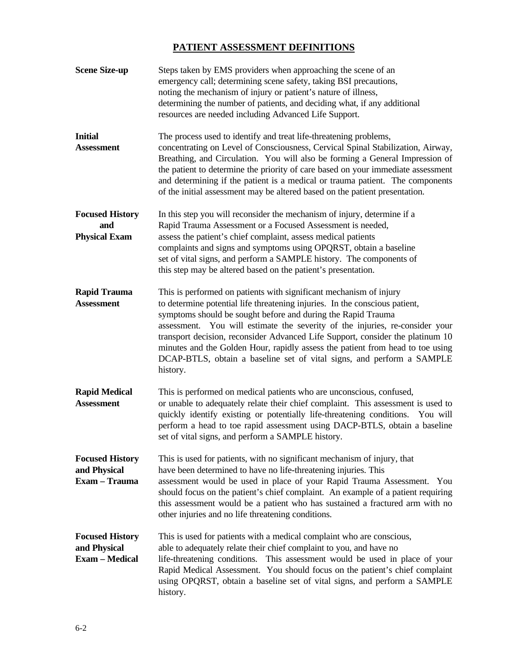# **PATIENT ASSESSMENT DEFINITIONS**

| <b>Scene Size-up</b>                                            | Steps taken by EMS providers when approaching the scene of an<br>emergency call; determining scene safety, taking BSI precautions,<br>noting the mechanism of injury or patient's nature of illness,<br>determining the number of patients, and deciding what, if any additional<br>resources are needed including Advanced Life Support.                                                                                                                                                                                                                     |
|-----------------------------------------------------------------|---------------------------------------------------------------------------------------------------------------------------------------------------------------------------------------------------------------------------------------------------------------------------------------------------------------------------------------------------------------------------------------------------------------------------------------------------------------------------------------------------------------------------------------------------------------|
| <b>Initial</b><br><b>Assessment</b>                             | The process used to identify and treat life-threatening problems,<br>concentrating on Level of Consciousness, Cervical Spinal Stabilization, Airway,<br>Breathing, and Circulation. You will also be forming a General Impression of<br>the patient to determine the priority of care based on your immediate assessment<br>and determining if the patient is a medical or trauma patient. The components<br>of the initial assessment may be altered based on the patient presentation.                                                                      |
| <b>Focused History</b><br>and<br><b>Physical Exam</b>           | In this step you will reconsider the mechanism of injury, determine if a<br>Rapid Trauma Assessment or a Focused Assessment is needed,<br>assess the patient's chief complaint, assess medical patients<br>complaints and signs and symptoms using OPQRST, obtain a baseline<br>set of vital signs, and perform a SAMPLE history. The components of<br>this step may be altered based on the patient's presentation.                                                                                                                                          |
| <b>Rapid Trauma</b><br><b>Assessment</b>                        | This is performed on patients with significant mechanism of injury<br>to determine potential life threatening injuries. In the conscious patient,<br>symptoms should be sought before and during the Rapid Trauma<br>You will estimate the severity of the injuries, re-consider your<br>assessment.<br>transport decision, reconsider Advanced Life Support, consider the platinum 10<br>minutes and the Golden Hour, rapidly assess the patient from head to toe using<br>DCAP-BTLS, obtain a baseline set of vital signs, and perform a SAMPLE<br>history. |
| <b>Rapid Medical</b><br><b>Assessment</b>                       | This is performed on medical patients who are unconscious, confused,<br>or unable to adequately relate their chief complaint. This assessment is used to<br>quickly identify existing or potentially life-threatening conditions. You will<br>perform a head to toe rapid assessment using DACP-BTLS, obtain a baseline<br>set of vital signs, and perform a SAMPLE history.                                                                                                                                                                                  |
| <b>Focused History</b><br>and Physical<br>Exam - Trauma         | This is used for patients, with no significant mechanism of injury, that<br>have been determined to have no life-threatening injuries. This<br>assessment would be used in place of your Rapid Trauma Assessment.<br>You<br>should focus on the patient's chief complaint. An example of a patient requiring<br>this assessment would be a patient who has sustained a fractured arm with no<br>other injuries and no life threatening conditions.                                                                                                            |
| <b>Focused History</b><br>and Physical<br><b>Exam - Medical</b> | This is used for patients with a medical complaint who are conscious,<br>able to adequately relate their chief complaint to you, and have no<br>life-threatening conditions. This assessment would be used in place of your<br>Rapid Medical Assessment. You should focus on the patient's chief complaint<br>using OPQRST, obtain a baseline set of vital signs, and perform a SAMPLE<br>history.                                                                                                                                                            |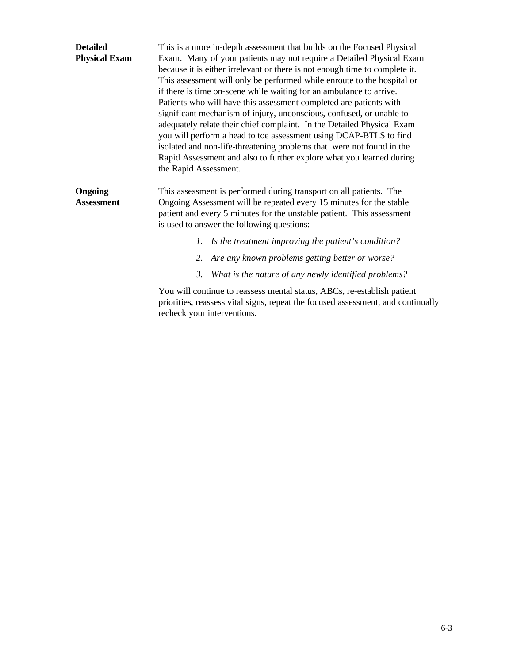| <b>Detailed</b>                     | This is a more in-depth assessment that builds on the Focused Physical                                                                                                                                                                                                                                                                                                                                                                                                                                                                                                                                                                                                                                                                                                       |  |  |  |
|-------------------------------------|------------------------------------------------------------------------------------------------------------------------------------------------------------------------------------------------------------------------------------------------------------------------------------------------------------------------------------------------------------------------------------------------------------------------------------------------------------------------------------------------------------------------------------------------------------------------------------------------------------------------------------------------------------------------------------------------------------------------------------------------------------------------------|--|--|--|
| <b>Physical Exam</b>                | Exam. Many of your patients may not require a Detailed Physical Exam<br>because it is either irrelevant or there is not enough time to complete it.<br>This assessment will only be performed while enroute to the hospital or<br>if there is time on-scene while waiting for an ambulance to arrive.<br>Patients who will have this assessment completed are patients with<br>significant mechanism of injury, unconscious, confused, or unable to<br>adequately relate their chief complaint. In the Detailed Physical Exam<br>you will perform a head to toe assessment using DCAP-BTLS to find<br>isolated and non-life-threatening problems that were not found in the<br>Rapid Assessment and also to further explore what you learned during<br>the Rapid Assessment. |  |  |  |
| <b>Ongoing</b><br><b>Assessment</b> | This assessment is performed during transport on all patients. The<br>Ongoing Assessment will be repeated every 15 minutes for the stable<br>patient and every 5 minutes for the unstable patient. This assessment<br>is used to answer the following questions:                                                                                                                                                                                                                                                                                                                                                                                                                                                                                                             |  |  |  |
|                                     | 1. Is the treatment improving the patient's condition?                                                                                                                                                                                                                                                                                                                                                                                                                                                                                                                                                                                                                                                                                                                       |  |  |  |
|                                     | Are any known problems getting better or worse?<br>2.                                                                                                                                                                                                                                                                                                                                                                                                                                                                                                                                                                                                                                                                                                                        |  |  |  |
|                                     | 3.<br>What is the nature of any newly identified problems?                                                                                                                                                                                                                                                                                                                                                                                                                                                                                                                                                                                                                                                                                                                   |  |  |  |
|                                     | You will continue to reassess mental status, ABCs, re-establish patient<br>priorities, reassess vital signs, repeat the focused assessment, and continually<br>recheck your interventions.                                                                                                                                                                                                                                                                                                                                                                                                                                                                                                                                                                                   |  |  |  |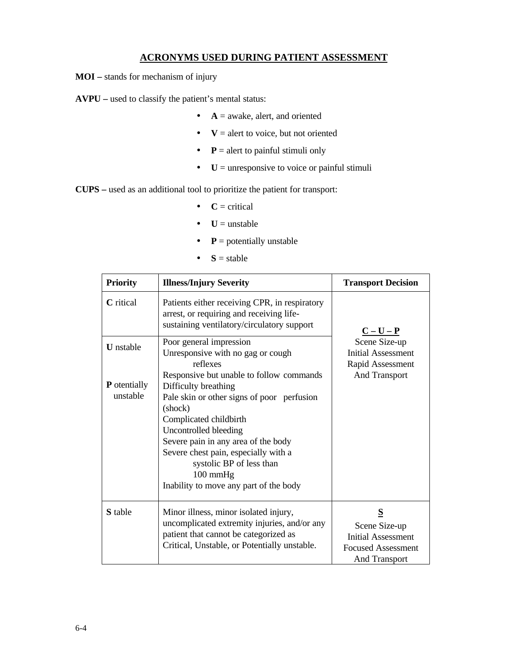# **ACRONYMS USED DURING PATIENT ASSESSMENT**

**MOI –** stands for mechanism of injury

**AVPU –** used to classify the patient's mental status:

- $\bullet$  **A** = awake, alert, and oriented
- $\bullet$   $\mathbf{V}$  = alert to voice, but not oriented
- $\bullet$  **P** = alert to painful stimuli only
- **U** = unresponsive to voice or painful stimuli

**CUPS –** used as an additional tool to prioritize the patient for transport:

- $\bullet$  **C** = critical
- $\bullet$   $\bullet$   $\bullet$   $\bullet$  **U** = unstable
- $\bullet$  **P** = potentially unstable
- $S = stable$

| <b>Priority</b>                                     | <b>Illness/Injury Severity</b>                                                                                                                                                                                                                                                                                                                                                                                            | <b>Transport Decision</b>                                                                            |  |
|-----------------------------------------------------|---------------------------------------------------------------------------------------------------------------------------------------------------------------------------------------------------------------------------------------------------------------------------------------------------------------------------------------------------------------------------------------------------------------------------|------------------------------------------------------------------------------------------------------|--|
| <b>C</b> ritical                                    | Patients either receiving CPR, in respiratory<br>arrest, or requiring and receiving life-<br>sustaining ventilatory/circulatory support                                                                                                                                                                                                                                                                                   | $C-U-P$                                                                                              |  |
| <b>U</b> nstable<br><b>P</b> otentially<br>unstable | Poor general impression<br>Unresponsive with no gag or cough<br>reflexes<br>Responsive but unable to follow commands<br>Difficulty breathing<br>Pale skin or other signs of poor perfusion<br>(shock)<br>Complicated childbirth<br>Uncontrolled bleeding<br>Severe pain in any area of the body<br>Severe chest pain, especially with a<br>systolic BP of less than<br>100 mmHg<br>Inability to move any part of the body | Scene Size-up<br><b>Initial Assessment</b><br>Rapid Assessment<br><b>And Transport</b>               |  |
| <b>S</b> table                                      | Minor illness, minor isolated injury,<br>uncomplicated extremity injuries, and/or any<br>patient that cannot be categorized as<br>Critical, Unstable, or Potentially unstable.                                                                                                                                                                                                                                            | S<br>Scene Size-up<br><b>Initial Assessment</b><br><b>Focused Assessment</b><br><b>And Transport</b> |  |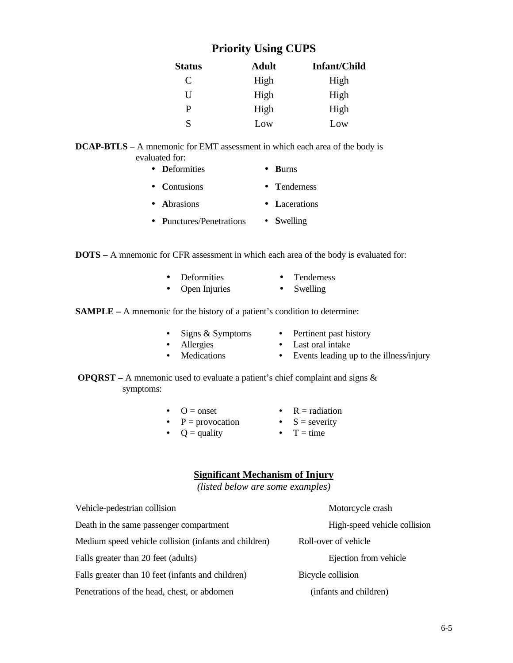# **Priority Using CUPS**

| <b>Status</b> | <b>Adult</b> | Infant/Child |
|---------------|--------------|--------------|
| C             | High         | High         |
| U             | High         | High         |
| P             | High         | High         |
| S             | Low          | Low          |

#### **DCAP-BTLS** – A mnemonic for EMT assessment in which each area of the body is evaluated for:

| $\bullet$ | <b>D</b> eformities | $\bullet$ Burns |  |
|-----------|---------------------|-----------------|--|
|           |                     |                 |  |

- **C**ontusions • **T**enderness
- **A**brasions • **L**acerations
- **P**unctures/Penetrations • **S**welling

**DOTS –** A mnemonic for CFR assessment in which each area of the body is evaluated for:

- Deformities • Tenderness
- Open Injuries • Swelling

**SAMPLE** – A mnemonic for the history of a patient's condition to determine:

- Signs & Symptoms
- Pertinent past history
- 
- Allergies • Medications
- Last oral intake • Events leading up to the illness/injury
- **OPQRST** A mnemonic used to evaluate a patient's chief complaint and signs & symptoms:
	- $\bullet$  O = onset
	- $P = \text{provocation}$ 
		-
	- $Q =$  quality
- $R = radiation$ •  $S =$  severity
- 
- $\bullet$  T = time

# **Significant Mechanism of Injury**

*(listed below are some examples)*

| Vehicle-pedestrian collision                          | Motorcycle crash             |  |
|-------------------------------------------------------|------------------------------|--|
| Death in the same passenger compartment               | High-speed vehicle collision |  |
| Medium speed vehicle collision (infants and children) | Roll-over of vehicle         |  |
| Falls greater than 20 feet (adults)                   | Ejection from vehicle        |  |
| Falls greater than 10 feet (infants and children)     | Bicycle collision            |  |
| Penetrations of the head, chest, or abdomen           | (infants and children)       |  |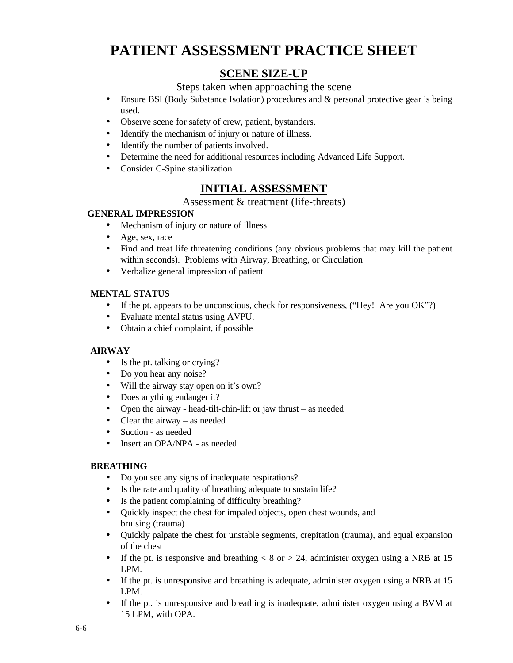# **PATIENT ASSESSMENT PRACTICE SHEET**

# **SCENE SIZE-UP**

# Steps taken when approaching the scene

- Ensure BSI (Body Substance Isolation) procedures and  $\&$  personal protective gear is being used.
- Observe scene for safety of crew, patient, bystanders.
- Identify the mechanism of injury or nature of illness.
- Identify the number of patients involved.
- Determine the need for additional resources including Advanced Life Support.
- Consider C-Spine stabilization

# **INITIAL ASSESSMENT**

# Assessment & treatment (life-threats)

### **GENERAL IMPRESSION**

- Mechanism of injury or nature of illness
- Age, sex, race
- Find and treat life threatening conditions (any obvious problems that may kill the patient within seconds). Problems with Airway, Breathing, or Circulation
- Verbalize general impression of patient

### **MENTAL STATUS**

- If the pt. appears to be unconscious, check for responsiveness, ("Hey! Are you OK"?)
- Evaluate mental status using AVPU.
- Obtain a chief complaint, if possible

### **AIRWAY**

- Is the pt. talking or crying?
- Do you hear any noise?
- Will the airway stay open on it's own?
- Does anything endanger it?
- Open the airway head-tilt-chin-lift or jaw thrust as needed
- Clear the airway as needed
- Suction as needed
- Insert an OPA/NPA as needed

### **BREATHING**

- Do you see any signs of inadequate respirations?
- Is the rate and quality of breathing adequate to sustain life?
- Is the patient complaining of difficulty breathing?
- Quickly inspect the chest for impaled objects, open chest wounds, and bruising (trauma)
- Quickly palpate the chest for unstable segments, crepitation (trauma), and equal expansion of the chest
- If the pt. is responsive and breathing  $\langle 8 \text{ or } 24$ , administer oxygen using a NRB at 15 LPM.
- If the pt. is unresponsive and breathing is adequate, administer oxygen using a NRB at 15 LPM.
- If the pt. is unresponsive and breathing is inadequate, administer oxygen using a BVM at 15 LPM, with OPA.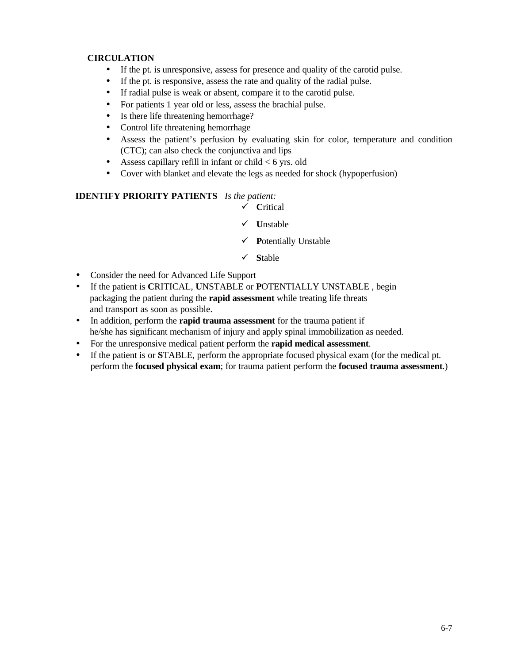### **CIRCULATION**

- If the pt. is unresponsive, assess for presence and quality of the carotid pulse.
- If the pt. is responsive, assess the rate and quality of the radial pulse.
- If radial pulse is weak or absent, compare it to the carotid pulse.
- For patients 1 year old or less, assess the brachial pulse.
- Is there life threatening hemorrhage?
- Control life threatening hemorrhage
- Assess the patient's perfusion by evaluating skin for color, temperature and condition (CTC); can also check the conjunctiva and lips
- Assess capillary refill in infant or child  $< 6$  yrs. old
- Cover with blanket and elevate the legs as needed for shock (hypoperfusion)

### **IDENTIFY PRIORITY PATIENTS** *Is the patient:*

- ¸ **C**ritical
- ¸ **U**nstable
- ¸ **P**otentially Unstable
- ¸ **S**table
- Consider the need for Advanced Life Support
- If the patient is **C**RITICAL, **U**NSTABLE or **P**OTENTIALLY UNSTABLE , begin packaging the patient during the **rapid assessment** while treating life threats and transport as soon as possible.
- In addition, perform the **rapid trauma assessment** for the trauma patient if he/she has significant mechanism of injury and apply spinal immobilization as needed.
- For the unresponsive medical patient perform the **rapid medical assessment**.
- If the patient is or **S**TABLE, perform the appropriate focused physical exam (for the medical pt. perform the **focused physical exam**; for trauma patient perform the **focused trauma assessment**.)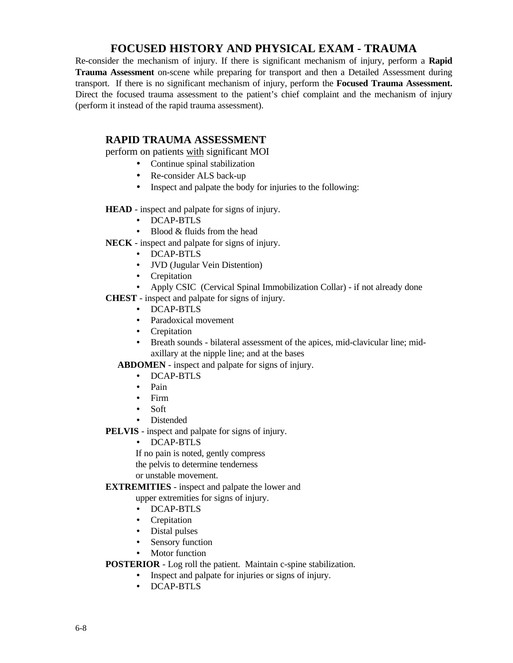# **FOCUSED HISTORY AND PHYSICAL EXAM - TRAUMA**

Re-consider the mechanism of injury. If there is significant mechanism of injury, perform a **Rapid Trauma Assessment** on-scene while preparing for transport and then a Detailed Assessment during transport. If there is no significant mechanism of injury, perform the **Focused Trauma Assessment.** Direct the focused trauma assessment to the patient's chief complaint and the mechanism of injury (perform it instead of the rapid trauma assessment).

# **RAPID TRAUMA ASSESSMENT**

perform on patients with significant MOI

- Continue spinal stabilization
- Re-consider ALS back-up
- Inspect and palpate the body for injuries to the following:

#### **HEAD** - inspect and palpate for signs of injury.

- DCAP-BTLS
- Blood & fluids from the head

**NECK** - inspect and palpate for signs of injury.

- DCAP-BTLS
- JVD (Jugular Vein Distention)
- Crepitation
- Apply CSIC (Cervical Spinal Immobilization Collar) if not already done

**CHEST** - inspect and palpate for signs of injury.

- DCAP-BTLS
- Paradoxical movement
- Crepitation
- Breath sounds bilateral assessment of the apices, mid-clavicular line; midaxillary at the nipple line; and at the bases

 **ABDOMEN** - inspect and palpate for signs of injury.

- DCAP-BTLS
- Pain
- Firm
- Soft
- Distended

**PELVIS** - inspect and palpate for signs of injury.

• DCAP-BTLS

If no pain is noted, gently compress the pelvis to determine tenderness or unstable movement.

#### **EXTREMITIES** - inspect and palpate the lower and

upper extremities for signs of injury.

- DCAP-BTLS
- Crepitation
- Distal pulses
- Sensory function
- Motor function

**POSTERIOR** - Log roll the patient. Maintain c-spine stabilization.

- Inspect and palpate for injuries or signs of injury.
	- DCAP-BTLS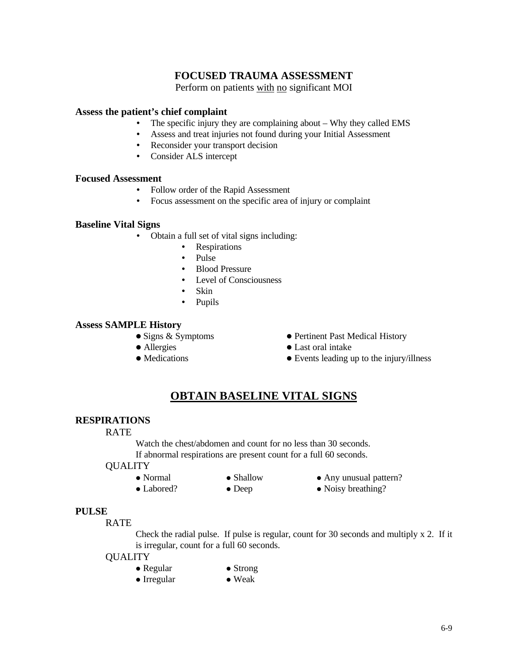# **FOCUSED TRAUMA ASSESSMENT**

Perform on patients with no significant MOI

#### **Assess the patient's chief complaint**

- The specific injury they are complaining about Why they called EMS
- Assess and treat injuries not found during your Initial Assessment
- Reconsider your transport decision
- Consider ALS intercept

#### **Focused Assessment**

- Follow order of the Rapid Assessment
- Focus assessment on the specific area of injury or complaint

#### **Baseline Vital Signs**

- Obtain a full set of vital signs including:
	- Respirations
	- Pulse
	- Blood Pressure
	- Level of Consciousness
	- Skin
	- Pupils

#### **Assess SAMPLE History**

- 
- 
- 
- Signs & Symptoms Pertinent Past Medical History
- Allergies Last oral intake
- Medications Events leading up to the injury/illness

# **OBTAIN BASELINE VITAL SIGNS**

#### **RESPIRATIONS**

#### RATE

Watch the chest/abdomen and count for no less than 30 seconds. If abnormal respirations are present count for a full 60 seconds.

#### **OUALITY**

- 
- 
- Normal Shallow Any unusual pattern?
- Labored? Deep Noisy breathing?

#### **PULSE**

RATE

Check the radial pulse. If pulse is regular, count for 30 seconds and multiply x 2. If it is irregular, count for a full 60 seconds.

- **QUALITY** 
	- $\bullet$  Regular  $\bullet$  Strong
	- $\bullet$  Irregular  $\bullet$  Weak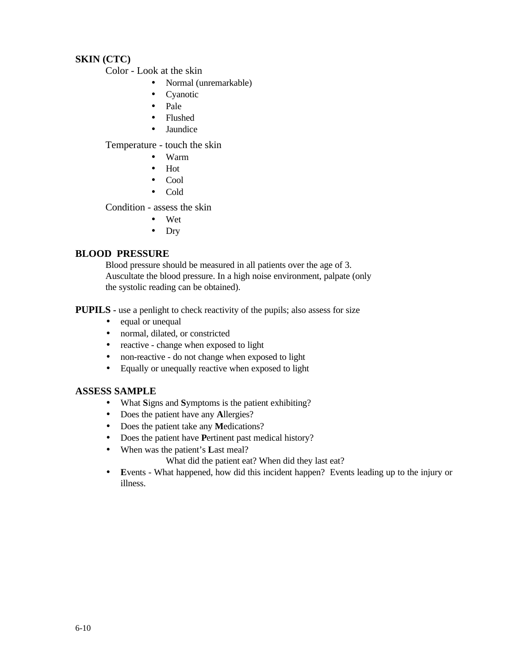# **SKIN (CTC)**

Color - Look at the skin

- Normal (unremarkable)
- **Cyanotic**
- Pale
- Flushed
- Jaundice

Temperature - touch the skin

- Warm
- Hot
- Cool
- Cold

Condition - assess the skin

- Wet
- Dry

# **BLOOD PRESSURE**

 Blood pressure should be measured in all patients over the age of 3. Auscultate the blood pressure. In a high noise environment, palpate (only the systolic reading can be obtained).

**PUPILS -** use a penlight to check reactivity of the pupils; also assess for size

- equal or unequal
- normal, dilated, or constricted
- reactive change when exposed to light
- non-reactive do not change when exposed to light
- Equally or unequally reactive when exposed to light

### **ASSESS SAMPLE**

- What **S**igns and **S**ymptoms is the patient exhibiting?
- Does the patient have any **A**llergies?
- Does the patient take any **M**edications?
- Does the patient have **P**ertinent past medical history?
- When was the patient's **L**ast meal?

What did the patient eat? When did they last eat?

• **E**vents - What happened, how did this incident happen? Events leading up to the injury or illness.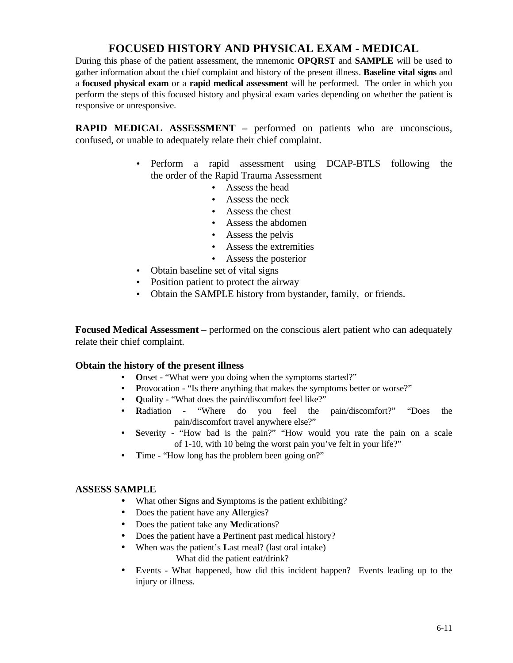# **FOCUSED HISTORY AND PHYSICAL EXAM - MEDICAL**

During this phase of the patient assessment, the mnemonic **OPQRST** and **SAMPLE** will be used to gather information about the chief complaint and history of the present illness. **Baseline vital signs** and a **focused physical exam** or a **rapid medical assessment** will be performed. The order in which you perform the steps of this focused history and physical exam varies depending on whether the patient is responsive or unresponsive.

**RAPID MEDICAL ASSESSMENT –** performed on patients who are unconscious, confused, or unable to adequately relate their chief complaint.

- Perform a rapid assessment using DCAP-BTLS following the the order of the Rapid Trauma Assessment
	- Assess the head
	- Assess the neck
	- Assess the chest
	- Assess the abdomen
	- Assess the pelvis
	- Assess the extremities
	- Assess the posterior
- Obtain baseline set of vital signs
- Position patient to protect the airway
- Obtain the SAMPLE history from bystander, family, or friends.

**Focused Medical Assessment** – performed on the conscious alert patient who can adequately relate their chief complaint.

### **Obtain the history of the present illness**

- Onset "What were you doing when the symptoms started?"
- **Provocation "Is there anything that makes the symptoms better or worse?"**
- **Quality "What does the pain/discomfort feel like?"<br>• Radiation "Where do you feel the**
- **R**adiation "Where do you feel the pain/discomfort?" "Does the pain/discomfort travel anywhere else?"
- **S**everity "How bad is the pain?" "How would you rate the pain on a scale of 1-10, with 10 being the worst pain you've felt in your life?"
- Time "How long has the problem been going on?"

#### **ASSESS SAMPLE**

- What other **S**igns and **S**ymptoms is the patient exhibiting?
- Does the patient have any **A**llergies?
- Does the patient take any **M**edications?
- Does the patient have a **P**ertinent past medical history?
- When was the patient's **L**ast meal? (last oral intake)
	- What did the patient eat/drink?
- **E**vents What happened, how did this incident happen? Events leading up to the injury or illness.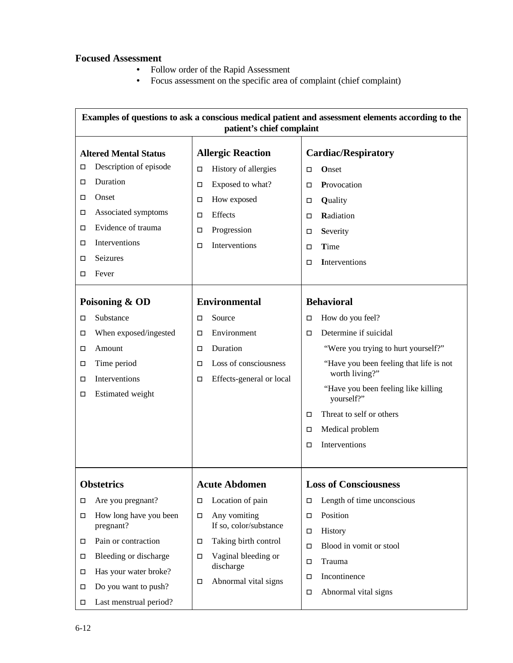# **Focused Assessment**

- Follow order of the Rapid Assessment
- Focus assessment on the specific area of complaint (chief complaint)

| Examples of questions to ask a conscious medical patient and assessment elements according to the<br>patient's chief complaint |                        |                                       |                          |                            |                                                           |
|--------------------------------------------------------------------------------------------------------------------------------|------------------------|---------------------------------------|--------------------------|----------------------------|-----------------------------------------------------------|
| <b>Altered Mental Status</b>                                                                                                   |                        | <b>Allergic Reaction</b>              |                          | <b>Cardiac/Respiratory</b> |                                                           |
| □                                                                                                                              | Description of episode | □                                     | History of allergies     | □                          | Onset                                                     |
| □                                                                                                                              | Duration               | П                                     | Exposed to what?         | □                          | Provocation                                               |
| □                                                                                                                              | Onset                  | □                                     | How exposed              | □                          | Quality                                                   |
| □                                                                                                                              | Associated symptoms    | □                                     | Effects                  | П                          | Radiation                                                 |
| □                                                                                                                              | Evidence of trauma     | □                                     | Progression              | П                          | Severity                                                  |
| □                                                                                                                              | Interventions          | □                                     | Interventions            | П                          | Time                                                      |
| □                                                                                                                              | Seizures               |                                       |                          | П                          | Interventions                                             |
| □                                                                                                                              | Fever                  |                                       |                          |                            |                                                           |
| Poisoning & OD                                                                                                                 |                        |                                       | <b>Environmental</b>     |                            | <b>Behavioral</b>                                         |
| □                                                                                                                              | Substance              | □                                     | Source                   | П                          | How do you feel?                                          |
| □                                                                                                                              | When exposed/ingested  | □                                     | Environment              | □                          | Determine if suicidal                                     |
| □                                                                                                                              | Amount                 | □                                     | Duration                 |                            | "Were you trying to hurt yourself?"                       |
| □                                                                                                                              | Time period            | □                                     | Loss of consciousness    |                            | "Have you been feeling that life is not<br>worth living?" |
| □                                                                                                                              | Interventions          | □                                     | Effects-general or local |                            | "Have you been feeling like killing                       |
| □                                                                                                                              | Estimated weight       |                                       |                          |                            | yourself?"                                                |
|                                                                                                                                |                        |                                       |                          | □                          | Threat to self or others                                  |
|                                                                                                                                |                        |                                       |                          | □                          | Medical problem                                           |
|                                                                                                                                |                        |                                       |                          | П                          | Interventions                                             |
|                                                                                                                                |                        |                                       |                          |                            |                                                           |
| <b>Obstetrics</b>                                                                                                              |                        |                                       | <b>Acute Abdomen</b>     |                            | <b>Loss of Consciousness</b>                              |
| □                                                                                                                              | Are you pregnant?      | П                                     | Location of pain         | $\Box$                     | Length of time unconscious                                |
| □                                                                                                                              | How long have you been | П                                     | Any vomiting             | П                          | Position                                                  |
|                                                                                                                                |                        | If so, color/substance<br>pregnant?   | П                        | History                    |                                                           |
| □                                                                                                                              | Pain or contraction    | □                                     | Taking birth control     | П                          | Blood in vomit or stool                                   |
| □                                                                                                                              | Bleeding or discharge  | Vaginal bleeding or<br>П<br>discharge |                          | $\Box$                     | Trauma                                                    |
| □                                                                                                                              | Has your water broke?  | П                                     | Abnormal vital signs     | П                          | Incontinence                                              |
| ◻                                                                                                                              | Do you want to push?   |                                       |                          | П                          | Abnormal vital signs                                      |
| □                                                                                                                              | Last menstrual period? |                                       |                          |                            |                                                           |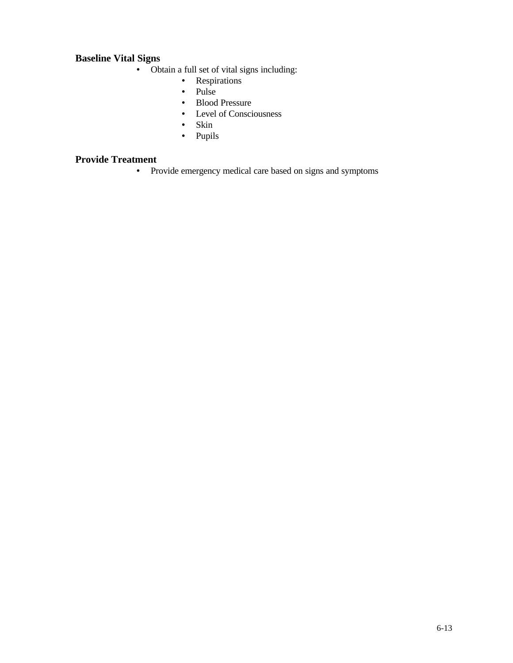# **Baseline Vital Signs**

- Obtain a full set of vital signs including:
	- Respirations
	- Pulse
	- Blood Pressure
	- Level of Consciousness
	- Skin
	- Pupils

# **Provide Treatment**

• Provide emergency medical care based on signs and symptoms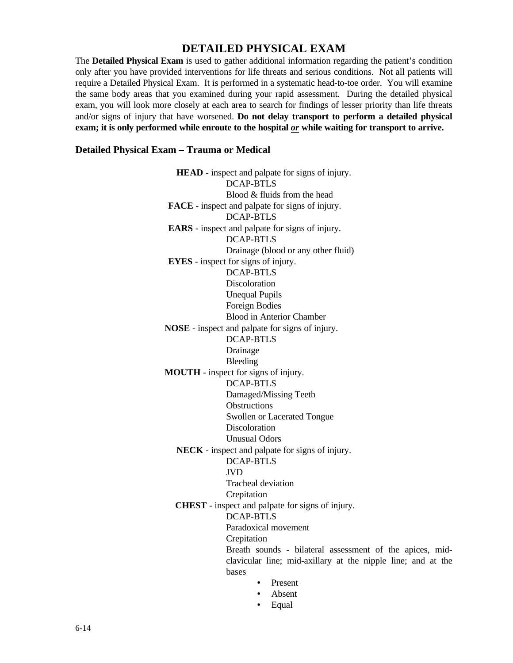# **DETAILED PHYSICAL EXAM**

The **Detailed Physical Exam** is used to gather additional information regarding the patient's condition only after you have provided interventions for life threats and serious conditions. Not all patients will require a Detailed Physical Exam. It is performed in a systematic head-to-toe order. You will examine the same body areas that you examined during your rapid assessment. During the detailed physical exam, you will look more closely at each area to search for findings of lesser priority than life threats and/or signs of injury that have worsened. **Do not delay transport to perform a detailed physical exam; it is only performed while enroute to the hospital** *or* **while waiting for transport to arrive.**

#### **Detailed Physical Exam – Trauma or Medical**

**HEAD** - inspect and palpate for signs of injury. DCAP-BTLS Blood & fluids from the head  **FACE** - inspect and palpate for signs of injury. DCAP-BTLS  **EARS** - inspect and palpate for signs of injury. DCAP-BTLS Drainage (blood or any other fluid)  **EYES** - inspect for signs of injury. DCAP-BTLS Discoloration Unequal Pupils Foreign Bodies Blood in Anterior Chamber  **NOSE** - inspect and palpate for signs of injury. DCAP-BTLS Drainage Bleeding  **MOUTH** - inspect for signs of injury. DCAP-BTLS Damaged/Missing Teeth **Obstructions** Swollen or Lacerated Tongue Discoloration Unusual Odors **NECK** - inspect and palpate for signs of injury. DCAP-BTLS JVD Tracheal deviation Crepitation **CHEST** - inspect and palpate for signs of injury. DCAP-BTLS Paradoxical movement Crepitation Breath sounds - bilateral assessment of the apices, midclavicular line; mid-axillary at the nipple line; and at the bases • Present

- Absent
- Equal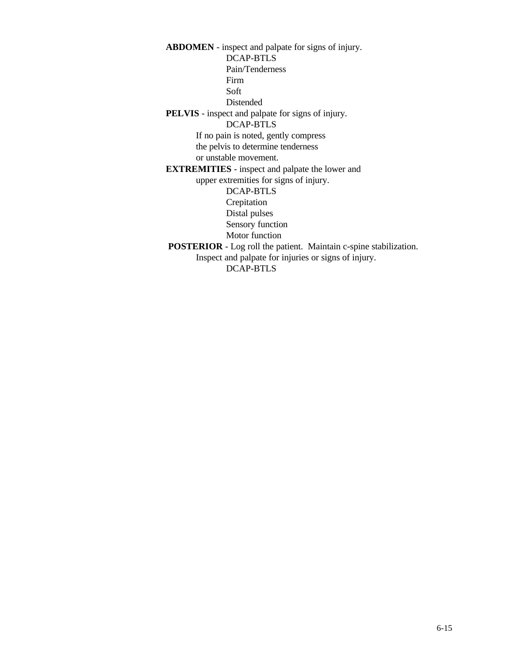**ABDOMEN** - inspect and palpate for signs of injury. DCAP-BTLS Pain/Tenderness Firm Soft Distended **PELVIS** - inspect and palpate for signs of injury. DCAP-BTLS If no pain is noted, gently compress the pelvis to determine tenderness or unstable movement. **EXTREMITIES** - inspect and palpate the lower and upper extremities for signs of injury. DCAP-BTLS Crepitation Distal pulses Sensory function Motor function  **POSTERIOR** - Log roll the patient. Maintain c-spine stabilization. Inspect and palpate for injuries or signs of injury. DCAP-BTLS